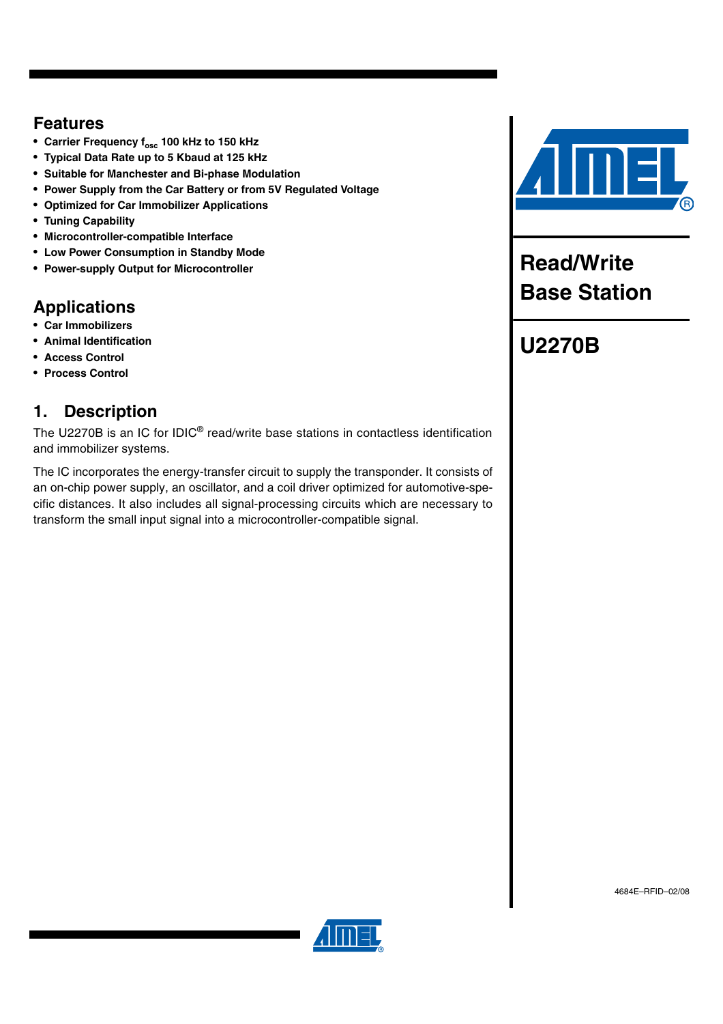# **Features**

- Carrier Frequency f<sub>osc</sub> 100 kHz to 150 kHz
- **Typical Data Rate up to 5 Kbaud at 125 kHz**
- **Suitable for Manchester and Bi-phase Modulation**
- **Power Supply from the Car Battery or from 5V Regulated Voltage**
- **Optimized for Car Immobilizer Applications**
- **Tuning Capability**
- **Microcontroller-compatible Interface**
- **Low Power Consumption in Standby Mode**
- **Power-supply Output for Microcontroller**

# **Applications**

- **Car Immobilizers**
- **Animal Identification**
- **Access Control**
- **Process Control**

# **1. Description**

The U2270B is an IC for IDIC® read/write base stations in contactless identification and immobilizer systems.

The IC incorporates the energy-transfer circuit to supply the transponder. It consists of an on-chip power supply, an oscillator, and a coil driver optimized for automotive-specific distances. It also includes all signal-processing circuits which are necessary to transform the small input signal into a microcontroller-compatible signal.



**Read/Write Base Station**

# **U2270B**

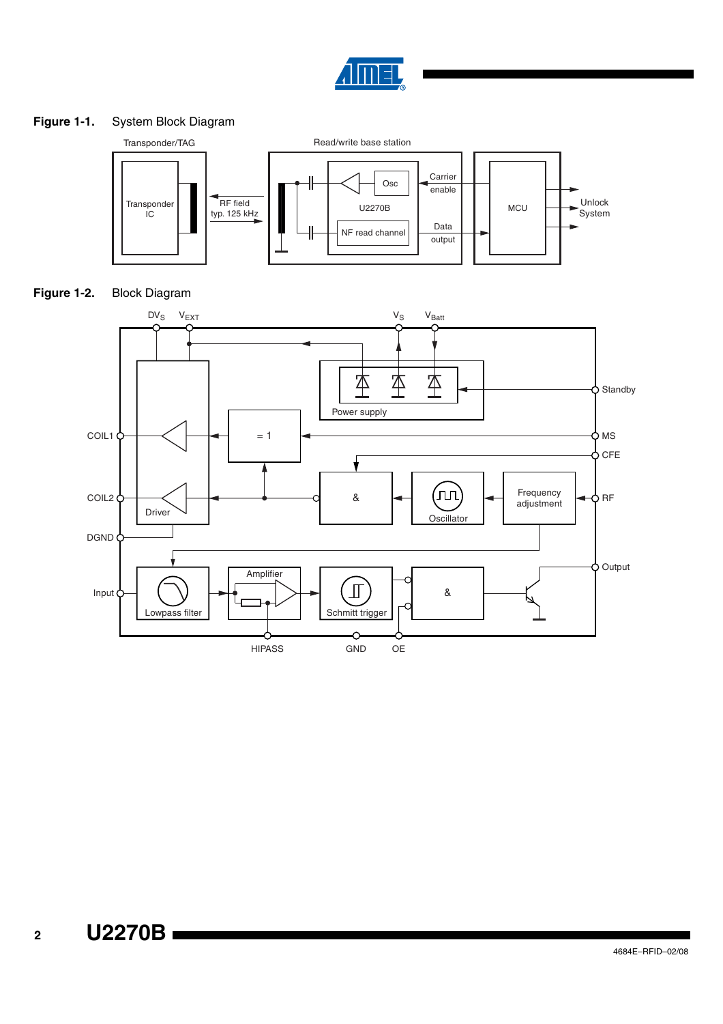

## **Figure 1-1.** System Block Diagram





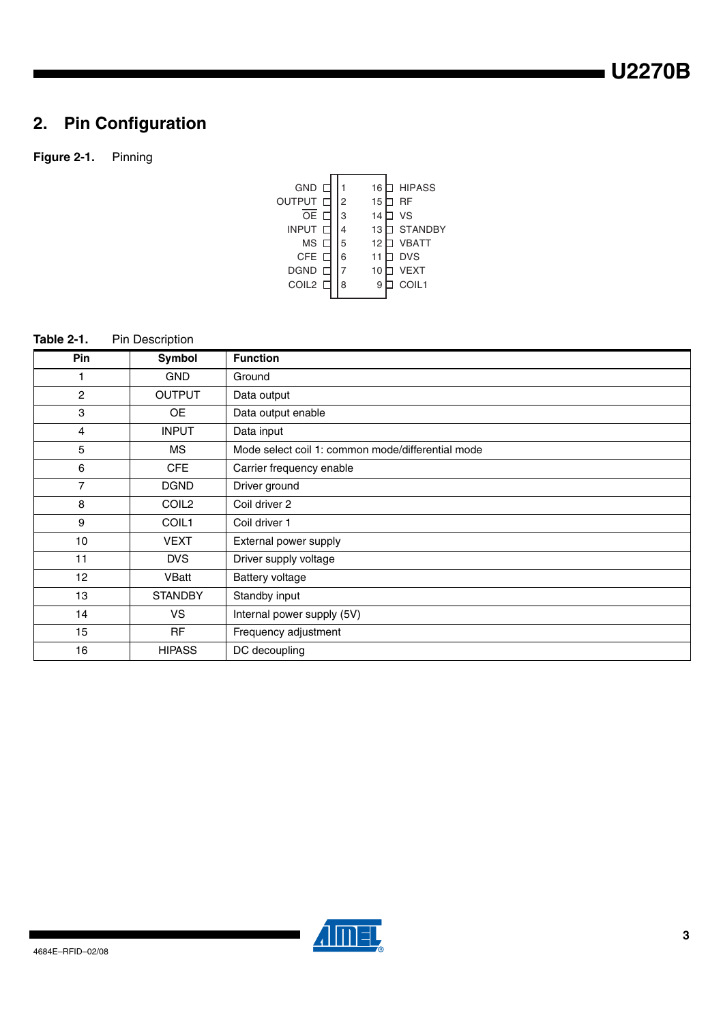# **2. Pin Configuration**

## **Figure 2-1.** Pinning

| GND<br>OUTPUT<br><b>OE</b><br><b>INPUT</b><br>MS | 2<br>3<br>5 | 16<br>15<br>14<br>13<br>12 | <b>HIPASS</b><br>RF<br>VS<br><b>STANDBY</b><br><b>VBATT</b> |
|--------------------------------------------------|-------------|----------------------------|-------------------------------------------------------------|
| <b>CFE</b><br><b>DGND</b><br>COIL2 <sub>L</sub>  | 6<br>8      | 11<br>10<br>9              | <b>DVS</b><br><b>VEXT</b><br>COIL1                          |
|                                                  |             |                            |                                                             |

## **Table 2-1.** Pin Description

| Pin              | Symbol            | <b>Function</b>                                   |
|------------------|-------------------|---------------------------------------------------|
| 1                | <b>GND</b>        | Ground                                            |
| $\overline{c}$   | <b>OUTPUT</b>     | Data output                                       |
| 3                | <b>OE</b>         | Data output enable                                |
| $\overline{4}$   | <b>INPUT</b>      | Data input                                        |
| 5                | MS                | Mode select coil 1: common mode/differential mode |
| 6                | <b>CFE</b>        | Carrier frequency enable                          |
| 7                | <b>DGND</b>       | Driver ground                                     |
| 8                | COIL <sub>2</sub> | Coil driver 2                                     |
| 9                | COIL1             | Coil driver 1                                     |
| 10 <sup>10</sup> | <b>VEXT</b>       | External power supply                             |
| 11               | <b>DVS</b>        | Driver supply voltage                             |
| 12               | VBatt             | Battery voltage                                   |
| 13               | <b>STANDBY</b>    | Standby input                                     |
| 14               | <b>VS</b>         | Internal power supply (5V)                        |
| 15               | <b>RF</b>         | Frequency adjustment                              |
| 16               | <b>HIPASS</b>     | DC decoupling                                     |

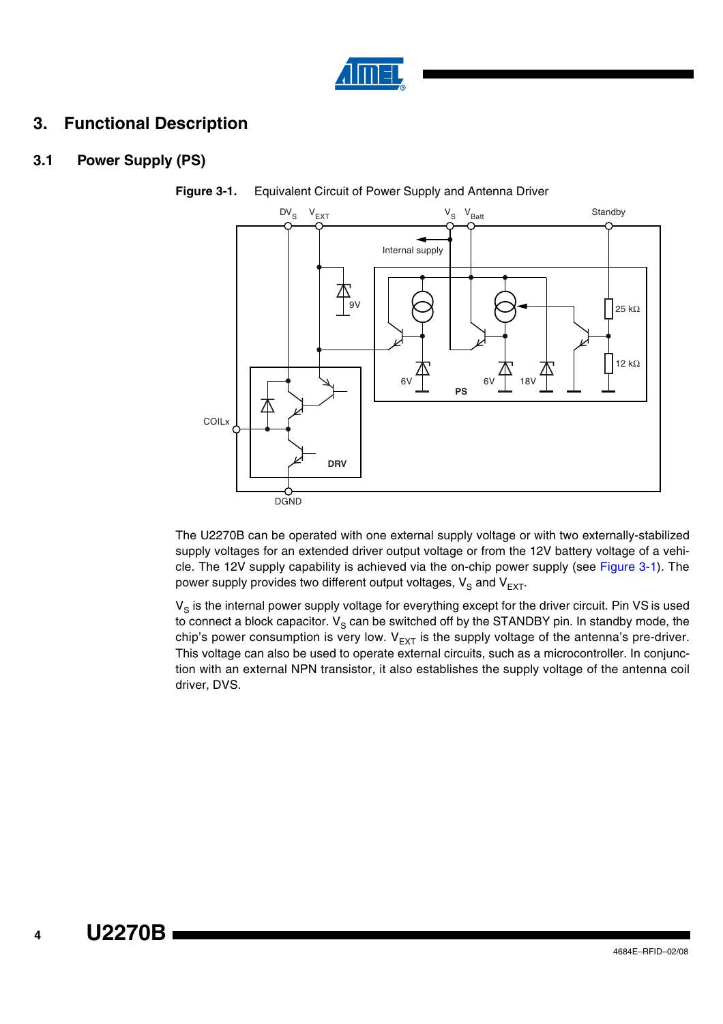

# **3. Functional Description**

## **3.1 Power Supply (PS)**



<span id="page-3-0"></span>**Figure 3-1.** Equivalent Circuit of Power Supply and Antenna Driver

The U2270B can be operated with one external supply voltage or with two externally-stabilized supply voltages for an extended driver output voltage or from the 12V battery voltage of a vehicle. The 12V supply capability is achieved via the on-chip power supply (see [Figure 3-1\)](#page-3-0). The power supply provides two different output voltages,  $V_S$  and  $V_{EXT}$ .

 $V_S$  is the internal power supply voltage for everything except for the driver circuit. Pin VS is used to connect a block capacitor.  $V_S$  can be switched off by the STANDBY pin. In standby mode, the chip's power consumption is very low.  $V_{EXT}$  is the supply voltage of the antenna's pre-driver. This voltage can also be used to operate external circuits, such as a microcontroller. In conjunction with an external NPN transistor, it also establishes the supply voltage of the antenna coil driver, DVS.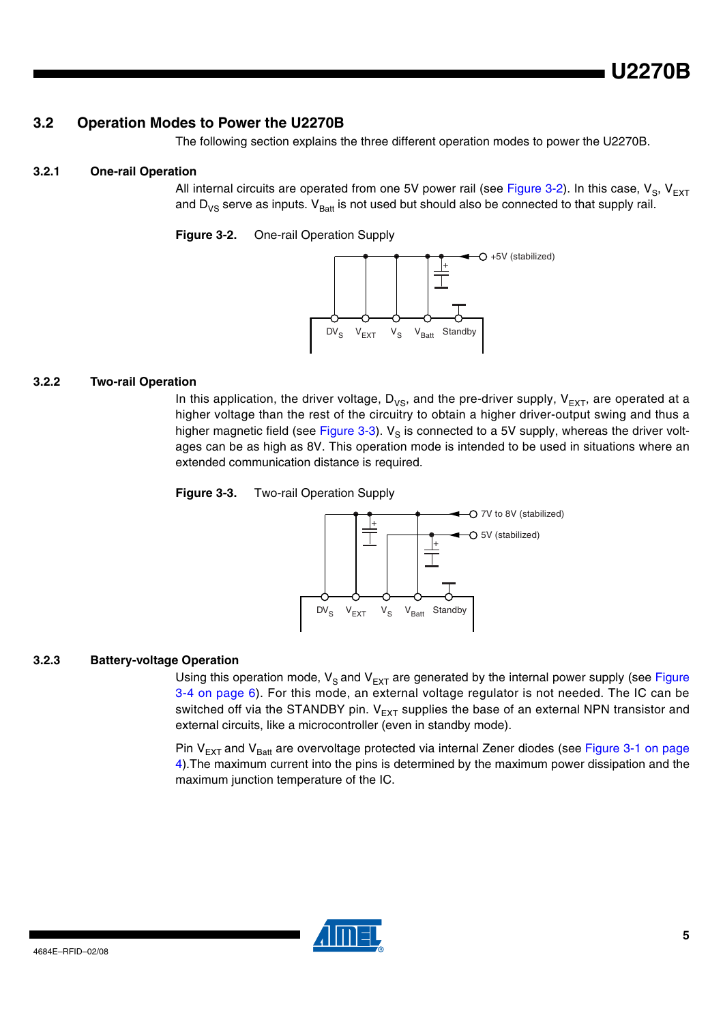#### **3.2 Operation Modes to Power the U2270B**

The following section explains the three different operation modes to power the U2270B.

#### **3.2.1 One-rail Operation**

All internal circuits are operated from one 5V power rail (see [Figure 3-2](#page-4-0)). In this case,  $V_{S}$ ,  $V_{EXT}$ and  $D_{VS}$  serve as inputs.  $V_{Batt}$  is not used but should also be connected to that supply rail.

<span id="page-4-0"></span>**Figure 3-2.** One-rail Operation Supply



#### **3.2.2 Two-rail Operation**

In this application, the driver voltage,  $D_{VS}$ , and the pre-driver supply,  $V_{EXT}$ , are operated at a higher voltage than the rest of the circuitry to obtain a higher driver-output swing and thus a higher magnetic field (see [Figure 3-3](#page-4-1)).  $V_S$  is connected to a 5V supply, whereas the driver voltages can be as high as 8V. This operation mode is intended to be used in situations where an extended communication distance is required.

<span id="page-4-1"></span>**Figure 3-3.** Two-rail Operation Supply



#### **3.2.3 Battery-voltage Operation**

Using this operation mode,  $V_S$  and  $V_{EXT}$  are generated by the internal power supply (see [Figure](#page-5-0) [3-4 on page 6](#page-5-0)). For this mode, an external voltage regulator is not needed. The IC can be switched off via the STANDBY pin.  $V_{EXT}$  supplies the base of an external NPN transistor and external circuits, like a microcontroller (even in standby mode).

Pin  $V_{\text{EXT}}$  and  $V_{\text{Batt}}$  are overvoltage protected via internal Zener diodes (see [Figure 3-1 on page](#page-3-0) [4](#page-3-0)).The maximum current into the pins is determined by the maximum power dissipation and the maximum junction temperature of the IC.

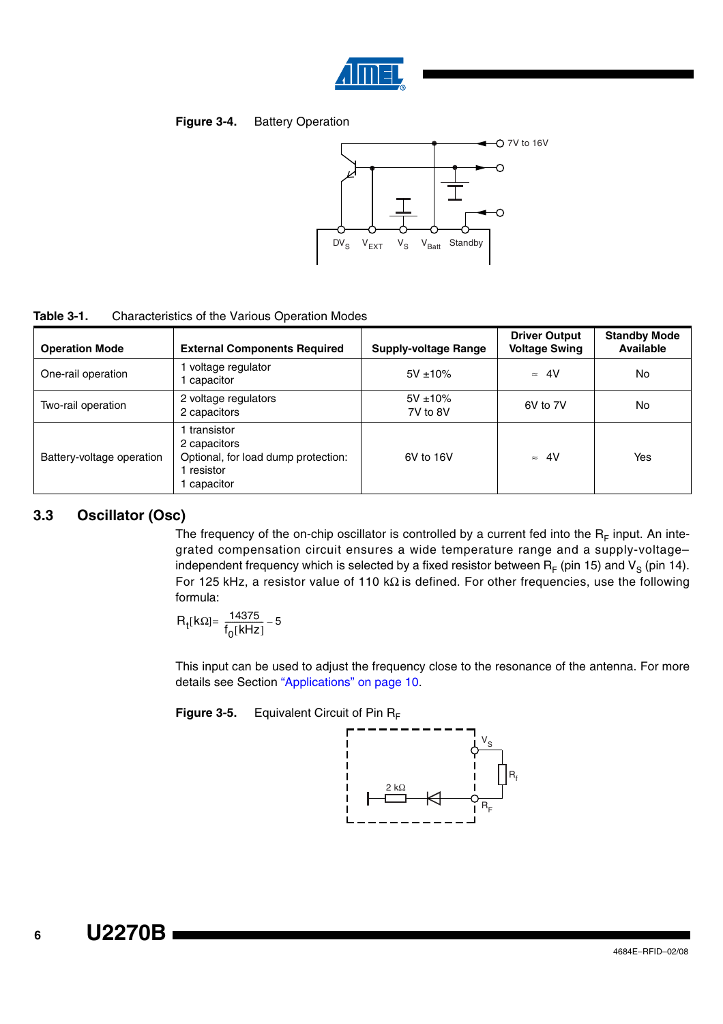

#### <span id="page-5-0"></span>**Figure 3-4.** Battery Operation



| Table 3-1.<br>Characteristics of the Various Operation Modes |
|--------------------------------------------------------------|
|--------------------------------------------------------------|

| <b>Operation Mode</b>     | <b>External Components Required</b>                                                        | <b>Supply-voltage Range</b> | <b>Driver Output</b><br><b>Voltage Swing</b> | <b>Standby Mode</b><br><b>Available</b> |
|---------------------------|--------------------------------------------------------------------------------------------|-----------------------------|----------------------------------------------|-----------------------------------------|
| One-rail operation        | voltage regulator<br>capacitor                                                             | $5V \pm 10\%$               | $\approx$ 4V                                 | No                                      |
| Two-rail operation        | 2 voltage regulators<br>2 capacitors                                                       | $5V \pm 10\%$<br>7V to 8V   | 6V to 7V                                     | No                                      |
| Battery-voltage operation | transistor<br>2 capacitors<br>Optional, for load dump protection:<br>resistor<br>capacitor | 6V to 16V                   | $\approx$ 4V                                 | Yes                                     |

#### **3.3 Oscillator (Osc)**

The frequency of the on-chip oscillator is controlled by a current fed into the  $R_F$  input. An integrated compensation circuit ensures a wide temperature range and a supply-voltage– independent frequency which is selected by a fixed resistor between  $R_F$  (pin 15) and  $V_S$  (pin 14). For 125 kHz, a resistor value of 110 kΩ is defined. For other frequencies, use the following formula:

 $R_t[kΩ] = \frac{14375}{f_0[kHz]} - 5$ 

This input can be used to adjust the frequency close to the resonance of the antenna. For more details see Section ["Applications" on page 10.](#page-9-0)

**Figure 3-5.** Equivalent Circuit of Pin R<sub>F</sub>

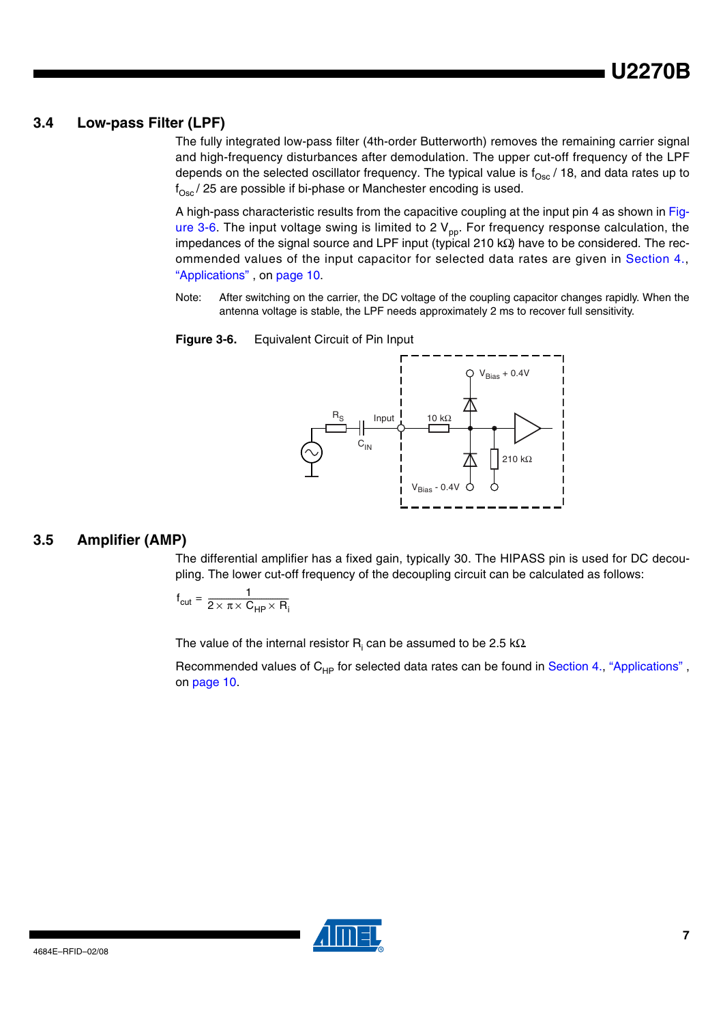#### **3.4 Low-pass Filter (LPF)**

The fully integrated low-pass filter (4th-order Butterworth) removes the remaining carrier signal and high-frequency disturbances after demodulation. The upper cut-off frequency of the LPF depends on the selected oscillator frequency. The typical value is  $f_{\rm Osc}$  / 18, and data rates up to  $f_{Osc}$  / 25 are possible if bi-phase or Manchester encoding is used.

A high-pass characteristic results from the capacitive coupling at the input pin 4 as shown in [Fig](#page-6-0)[ure 3-6.](#page-6-0) The input voltage swing is limited to 2  $V_{pp}$ . For frequency response calculation, the impedances of the signal source and LPF input (typical 210 kΩ) have to be considered. The recommended values of the input capacitor for selected data rates are given in [Section 4.,](#page-9-0) ["Applications" ,](#page-9-0) on [page 10](#page-9-0).

Note: After switching on the carrier, the DC voltage of the coupling capacitor changes rapidly. When the antenna voltage is stable, the LPF needs approximately 2 ms to recover full sensitivity.

<span id="page-6-0"></span>



#### **3.5 Amplifier (AMP)**

The differential amplifier has a fixed gain, typically 30. The HIPASS pin is used for DC decoupling. The lower cut-off frequency of the decoupling circuit can be calculated as follows:

$$
f_{\text{cut}} = \frac{1}{2 \times \pi \times C_{\text{HP}} \times R_i}
$$

The value of the internal resistor  $\mathsf{R}_{\mathsf{i}}$  can be assumed to be 2.5 k $\Omega$ 

Recommended values of  $C_{HP}$  for selected data rates can be found in Section 4., "Applications", on [page 10.](#page-9-0)

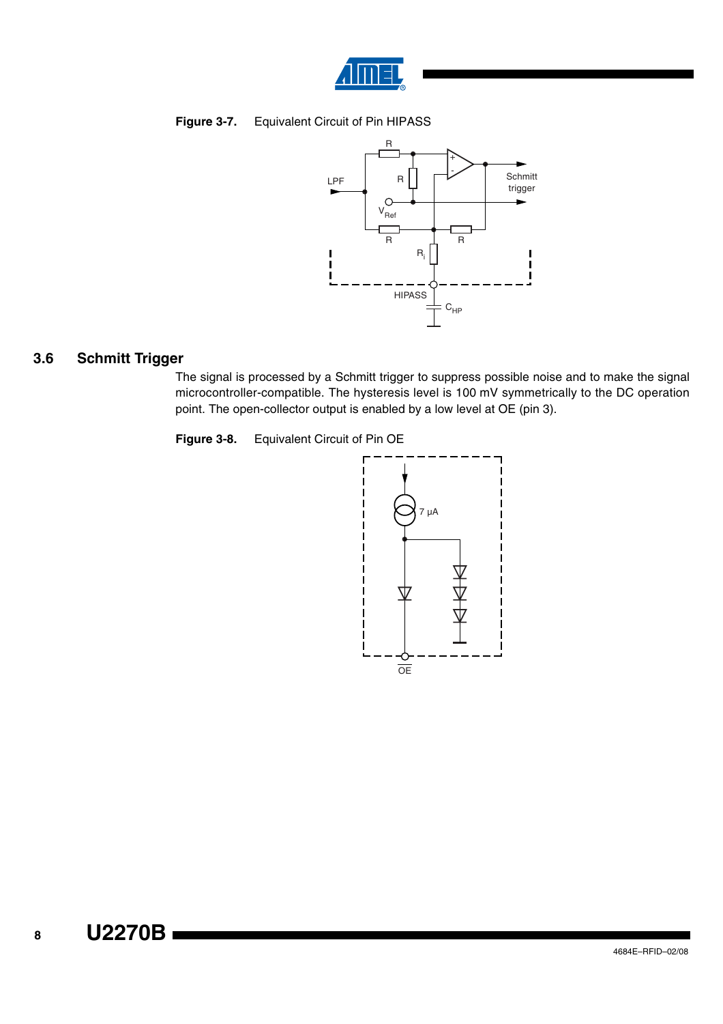

#### **Figure 3-7.** Equivalent Circuit of Pin HIPASS



## **3.6 Schmitt Trigger**

The signal is processed by a Schmitt trigger to suppress possible noise and to make the signal microcontroller-compatible. The hysteresis level is 100 mV symmetrically to the DC operation point. The open-collector output is enabled by a low level at OE (pin 3).



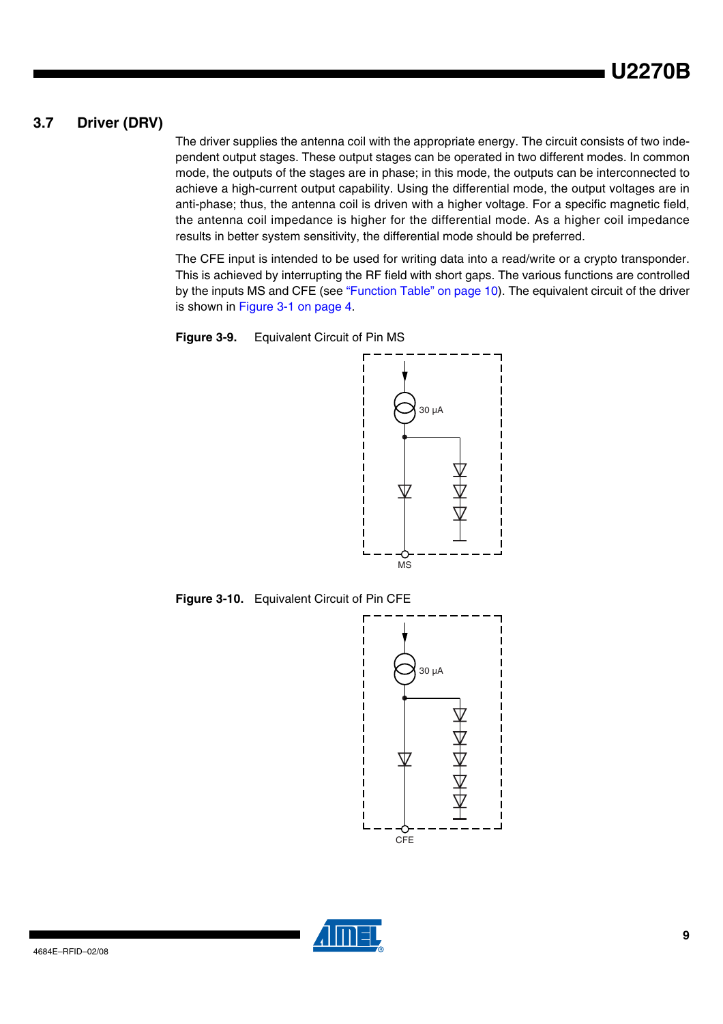## **3.7 Driver (DRV)**

The driver supplies the antenna coil with the appropriate energy. The circuit consists of two independent output stages. These output stages can be operated in two different modes. In common mode, the outputs of the stages are in phase; in this mode, the outputs can be interconnected to achieve a high-current output capability. Using the differential mode, the output voltages are in anti-phase; thus, the antenna coil is driven with a higher voltage. For a specific magnetic field, the antenna coil impedance is higher for the differential mode. As a higher coil impedance results in better system sensitivity, the differential mode should be preferred.

The CFE input is intended to be used for writing data into a read/write or a crypto transponder. This is achieved by interrupting the RF field with short gaps. The various functions are controlled by the inputs MS and CFE (see ["Function Table" on page 10\)](#page-9-1). The equivalent circuit of the driver is shown in [Figure 3-1 on page 4.](#page-3-0)





**Figure 3-10.** Equivalent Circuit of Pin CFE



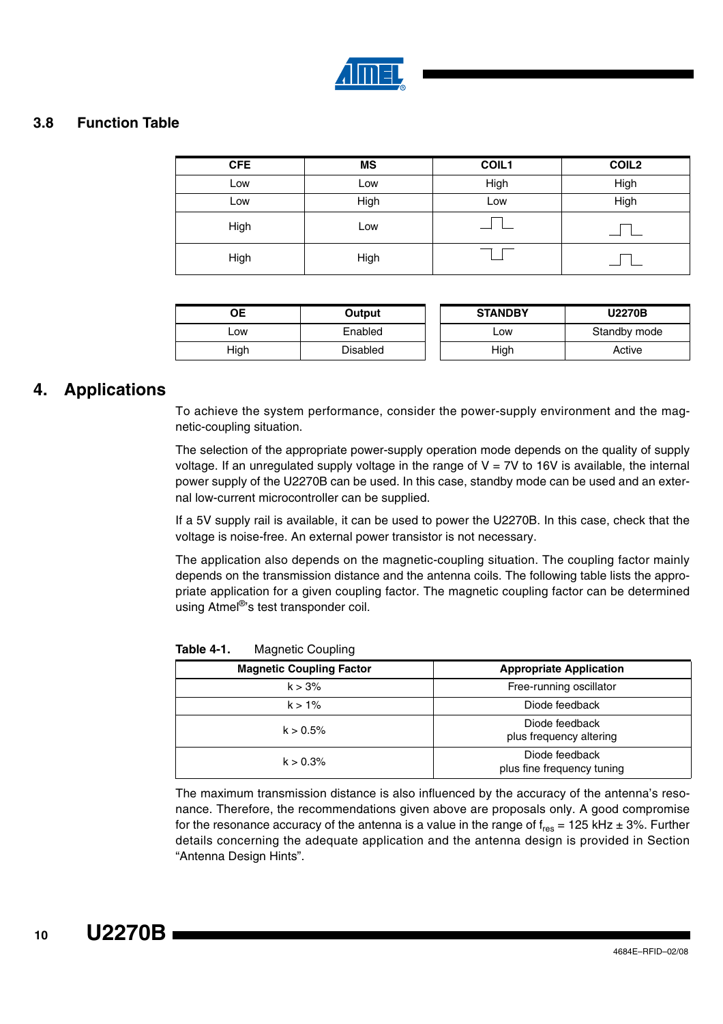

#### <span id="page-9-1"></span>**3.8 Function Table**

| <b>CFE</b> | <b>MS</b> | COIL1 | <b>COIL2</b> |
|------------|-----------|-------|--------------|
| Low        | Low       | High  | High         |
| Low        | High      | Low   | High         |
| High       | Low       |       |              |
| High       | High      |       |              |

|      | Output   | <b>STANDBY</b> | <b>U2270B</b> |
|------|----------|----------------|---------------|
| _ow  | Enabled  | _OW            | Standby mode  |
| High | Disabled | High           | Active        |

## <span id="page-9-0"></span>**4. Applications**

To achieve the system performance, consider the power-supply environment and the magnetic-coupling situation.

The selection of the appropriate power-supply operation mode depends on the quality of supply voltage. If an unregulated supply voltage in the range of  $V = 7V$  to 16V is available, the internal power supply of the U2270B can be used. In this case, standby mode can be used and an external low-current microcontroller can be supplied.

If a 5V supply rail is available, it can be used to power the U2270B. In this case, check that the voltage is noise-free. An external power transistor is not necessary.

The application also depends on the magnetic-coupling situation. The coupling factor mainly depends on the transmission distance and the antenna coils. The following table lists the appropriate application for a given coupling factor. The magnetic coupling factor can be determined using Atmel<sup>®</sup>'s test transponder coil.

| <b>Magnetic Coupling Factor</b> | <b>Appropriate Application</b>               |
|---------------------------------|----------------------------------------------|
| k > 3%                          | Free-running oscillator                      |
| $k > 1\%$                       | Diode feedback                               |
| $k > 0.5\%$                     | Diode feedback<br>plus frequency altering    |
| $k > 0.3\%$                     | Diode feedback<br>plus fine frequency tuning |

**Table 4-1.** Magnetic Coupling

The maximum transmission distance is also influenced by the accuracy of the antenna's resonance. Therefore, the recommendations given above are proposals only. A good compromise for the resonance accuracy of the antenna is a value in the range of  $f_{res} = 125$  kHz  $\pm$  3%. Further details concerning the adequate application and the antenna design is provided in Section "Antenna Design Hints".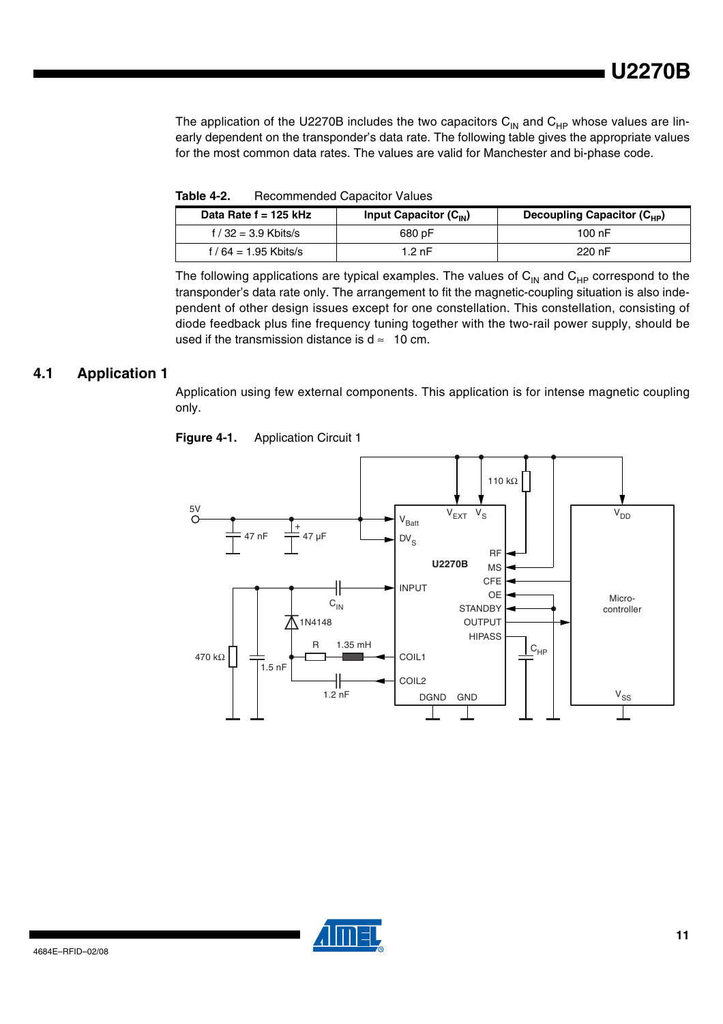The application of the U2270B includes the two capacitors  $C_{\text{IN}}$  and  $C_{\text{HP}}$  whose values are linearly dependent on the transponder's data rate. The following table gives the appropriate values for the most common data rates. The values are valid for Manchester and bi-phase code.

| Data Rate $f = 125$ kHz | Input Capacitor $(C_{IN})$ | Decoupling Capacitor $(C_{HD})$ |
|-------------------------|----------------------------|---------------------------------|
| f / 32 = 3.9 Kbits/s    | 680 pF                     | 100 nF                          |
| f / 64 = 1.95 Kbits/s   | 1.2 nF                     | 220 nF                          |

The following applications are typical examples. The values of  $C_{IN}$  and  $C_{HP}$  correspond to the transponder's data rate only. The arrangement to fit the magnetic-coupling situation is also independent of other design issues except for one constellation. This constellation, consisting of diode feedback plus fine frequency tuning together with the two-rail power supply, should be used if the transmission distance is  $d \approx 10$  cm.

#### <span id="page-10-0"></span>**4.1 Application 1**

Application using few external components. This application is for intense magnetic coupling only.



**Figure 4-1.** Application Circuit 1

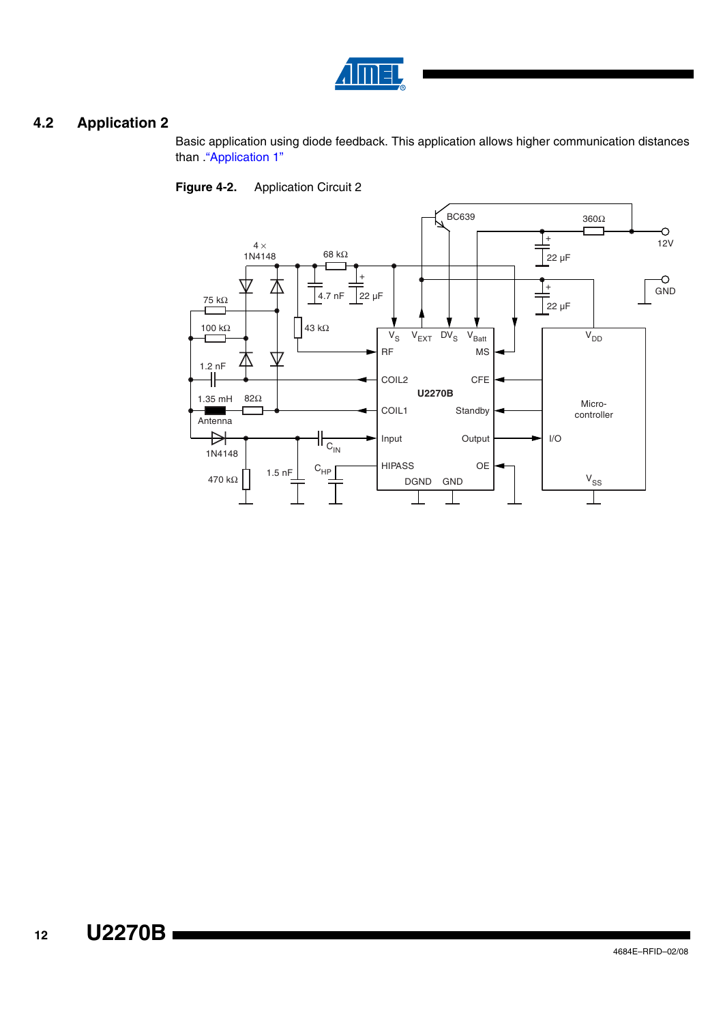

## <span id="page-11-0"></span>**4.2 Application 2**

Basic application using diode feedback. This application allows higher communication distances than "Application 1"



**Figure 4-2.** Application Circuit 2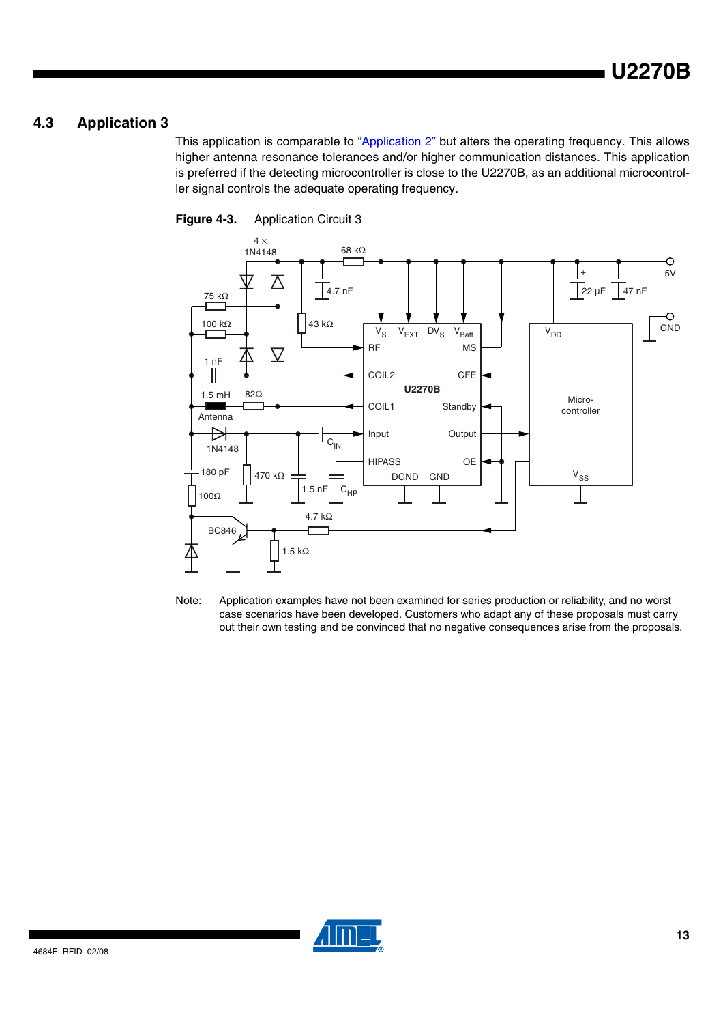## **4.3 Application 3**

This application is comparable to ["Application 2" b](#page-11-0)ut alters the operating frequency. This allows higher antenna resonance tolerances and/or higher communication distances. This application is preferred if the detecting microcontroller is close to the U2270B, as an additional microcontroller signal controls the adequate operating frequency.





Note: Application examples have not been examined for series production or reliability, and no worst case scenarios have been developed. Customers who adapt any of these proposals must carry out their own testing and be convinced that no negative consequences arise from the proposals.

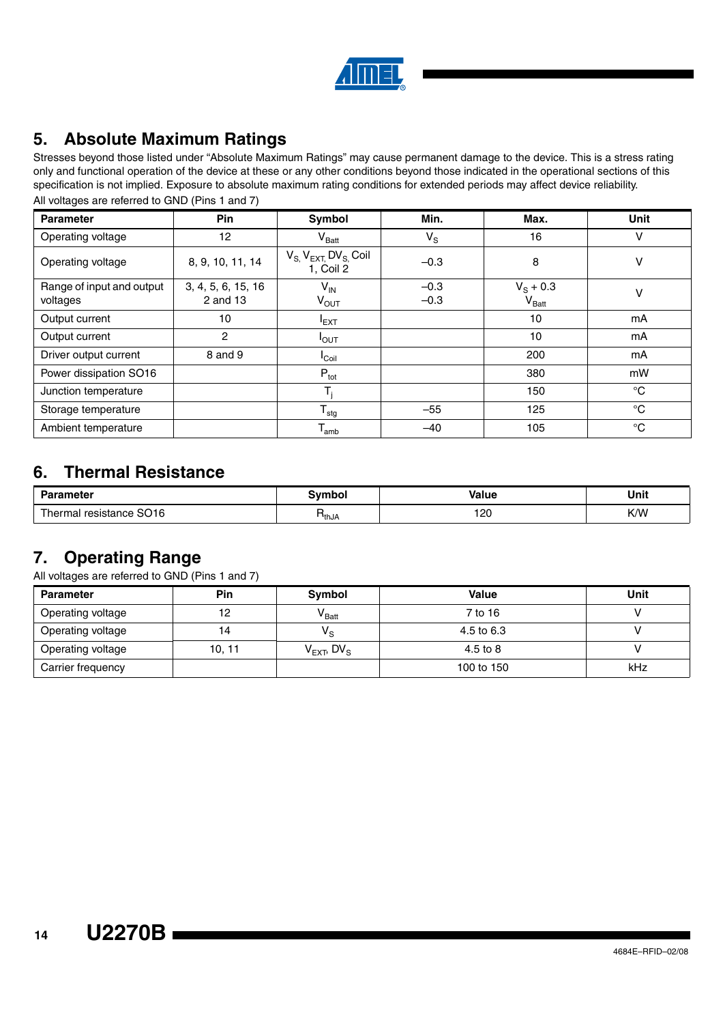

# **5. Absolute Maximum Ratings**

Stresses beyond those listed under "Absolute Maximum Ratings" may cause permanent damage to the device. This is a stress rating only and functional operation of the device at these or any other conditions beyond those indicated in the operational sections of this specification is not implied. Exposure to absolute maximum rating conditions for extended periods may affect device reliability.

| <b>Parameter</b>                      | Pin                            | <b>Symbol</b>                             | Min.             | Max.                                   | <b>Unit</b> |
|---------------------------------------|--------------------------------|-------------------------------------------|------------------|----------------------------------------|-------------|
| Operating voltage                     | 12                             | $V_{\text{Batt}}$                         | $V_{\rm S}$      | 16                                     | v           |
| Operating voltage                     | 8, 9, 10, 11, 14               | $V_{S,}V_{EXT,}DV_{S,}$ Coil<br>1, Coil 2 | $-0.3$           | 8                                      | v           |
| Range of input and output<br>voltages | 3, 4, 5, 6, 15, 16<br>2 and 13 | $V_{IN}$<br>$V_{OUT}$                     | $-0.3$<br>$-0.3$ | $V_{\rm S}$ + 0.3<br>$V_{\text{Batt}}$ | v           |
| Output current                        | 10                             | $I_{EXT}$                                 |                  | 10                                     | mA          |
| Output current                        | 2                              | $I_{\text{OUT}}$                          |                  | 10                                     | mA          |
| Driver output current                 | 8 and 9                        | <b>I</b> Coil                             |                  | 200                                    | mA          |
| Power dissipation SO16                |                                | $P_{\text{tot}}$                          |                  | 380                                    | mW          |
| Junction temperature                  |                                |                                           |                  | 150                                    | $^{\circ}C$ |
| Storage temperature                   |                                | $T_{\text{stg}}$                          | $-55$            | 125                                    | $^{\circ}C$ |
| Ambient temperature                   |                                | $T_{amb}$                                 | $-40$            | 105                                    | $^{\circ}C$ |

All voltages are referred to GND (Pins 1 and 7)

## **6. Thermal Resistance**

| <b>Parameter</b>                | ™mbol | <b>Value</b> | Unit |
|---------------------------------|-------|--------------|------|
| resistance SO16<br>--<br>hermar | ™thJA | 120          | K/W  |

# **7. Operating Range**

All voltages are referred to GND (Pins 1 and 7)

| <b>Parameter</b>  | Pin    | Symbol                             | <b>Value</b> | Unit |
|-------------------|--------|------------------------------------|--------------|------|
| Operating voltage | 12.    | $\mathsf{V}_\mathsf{Batt}$         | 7 to 16      |      |
| Operating voltage | 14     | $V_{\rm S}$                        | 4.5 to 6.3   |      |
| Operating voltage | 10, 11 | $V_{\text{EXT}}$ , DV <sub>S</sub> | 4.5 to 8     |      |
| Carrier frequency |        |                                    | 100 to 150   | kHz  |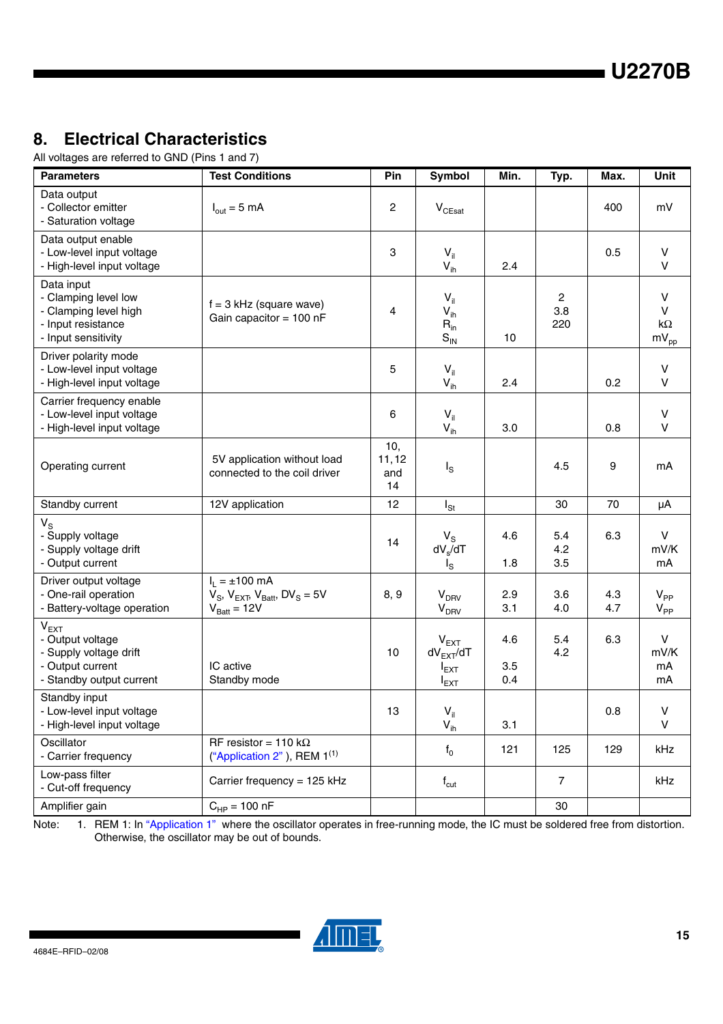# **8. Electrical Characteristics**

All voltages are referred to GND (Pins 1 and 7)

| <b>Parameters</b>                                                                                              | <b>Test Conditions</b>                                                                 | Pin                       | Symbol                                                      | Min.              | Typ.              | Max.       | Unit                                        |
|----------------------------------------------------------------------------------------------------------------|----------------------------------------------------------------------------------------|---------------------------|-------------------------------------------------------------|-------------------|-------------------|------------|---------------------------------------------|
| Data output<br>- Collector emitter<br>- Saturation voltage                                                     | $I_{\text{out}} = 5 \text{ mA}$                                                        | 2                         | $\mathsf{V}_{\mathsf{CEsat}}$                               |                   |                   | 400        | mV                                          |
| Data output enable<br>- Low-level input voltage<br>- High-level input voltage                                  |                                                                                        | 3                         | $V_{il}$<br>$V_{ih}$                                        | 2.4               |                   | 0.5        | $\vee$<br>$\vee$                            |
| Data input<br>- Clamping level low<br>- Clamping level high<br>- Input resistance<br>- Input sensitivity       | $f = 3$ kHz (square wave)<br>Gain capacitor = $100$ nF                                 | 4                         | $V_{\parallel}$<br>$V_{ih}$<br>$R_{in}$<br>$S_{\text{IN}}$  | 10                | 2<br>3.8<br>220   |            | $\vee$<br>$\vee$<br>k $\Omega$<br>$mV_{pp}$ |
| Driver polarity mode<br>- Low-level input voltage<br>- High-level input voltage                                |                                                                                        | 5                         | $V_{il}$<br>$V_{ih}$                                        | 2.4               |                   | 0.2        | $\vee$<br>$\vee$                            |
| Carrier frequency enable<br>- Low-level input voltage<br>- High-level input voltage                            |                                                                                        | 6                         | $V_{\parallel}$<br>$V_{ih}$                                 | 3.0               |                   | 0.8        | $\sf V$<br>$\vee$                           |
| Operating current                                                                                              | 5V application without load<br>connected to the coil driver                            | 10,<br>11,12<br>and<br>14 | $I_{\rm S}$                                                 |                   | 4.5               | 9          | mA                                          |
| Standby current                                                                                                | 12V application                                                                        | 12                        | $I_{\text{St}}$                                             |                   | 30                | 70         | μA                                          |
| $V_{\rm S}$<br>- Supply voltage<br>- Supply voltage drift<br>- Output current                                  |                                                                                        | 14                        | $V_{\rm S}$<br>$dV_{s}/dT$<br>$I_{\rm S}$                   | 4.6<br>1.8        | 5.4<br>4.2<br>3.5 | 6.3        | $\vee$<br>mV/K<br>mA                        |
| Driver output voltage<br>- One-rail operation<br>- Battery-voltage operation                                   | $I_1 = \pm 100$ mA<br>$V_S$ , $V_{EXT}$ , $V_{Batt}$ , $DV_S = 5V$<br>$V_{Batt} = 12V$ | 8, 9                      | V <sub>DRV</sub><br>V <sub>DRV</sub>                        | 2.9<br>3.1        | 3.6<br>4.0        | 4.3<br>4.7 | $V_{PP}$<br>$V_{PP}$                        |
| V <sub>EXT</sub><br>- Output voltage<br>- Supply voltage drift<br>- Output current<br>- Standby output current | IC active<br>Standby mode                                                              | 10                        | V <sub>EXT</sub><br>$dV_{EXT}/dT$<br>$I_{EXT}$<br>$I_{EXT}$ | 4.6<br>3.5<br>0.4 | 5.4<br>4.2        | 6.3        | $\vee$<br>mV/K<br>mA<br>mA                  |
| Standby input<br>- Low-level input voltage<br>- High-level input voltage                                       |                                                                                        | 13                        | $V_{\rm{il}}$<br>$V_{ih}$                                   | 3.1               |                   | 0.8        | ${\sf V}$<br>$\vee$                         |
| Oscillator<br>- Carrier frequency                                                                              | RF resistor = 110 k $\Omega$<br>("Application 2"), REM 1 <sup>(1)</sup>                |                           | $f_0$                                                       | 121               | 125               | 129        | kHz                                         |
| Low-pass filter<br>- Cut-off frequency                                                                         | Carrier frequency = 125 kHz                                                            |                           | $f_{\rm cut}$                                               |                   | 7                 |            | kHz                                         |
| Amplifier gain                                                                                                 | $C_{HP} = 100 nF$                                                                      |                           |                                                             |                   | 30                |            |                                             |

Note: 1. REM 1: In ["Application 1"](#page-10-0) where the oscillator operates in free-running mode, the IC must be soldered free from distortion. Otherwise, the oscillator may be out of bounds.

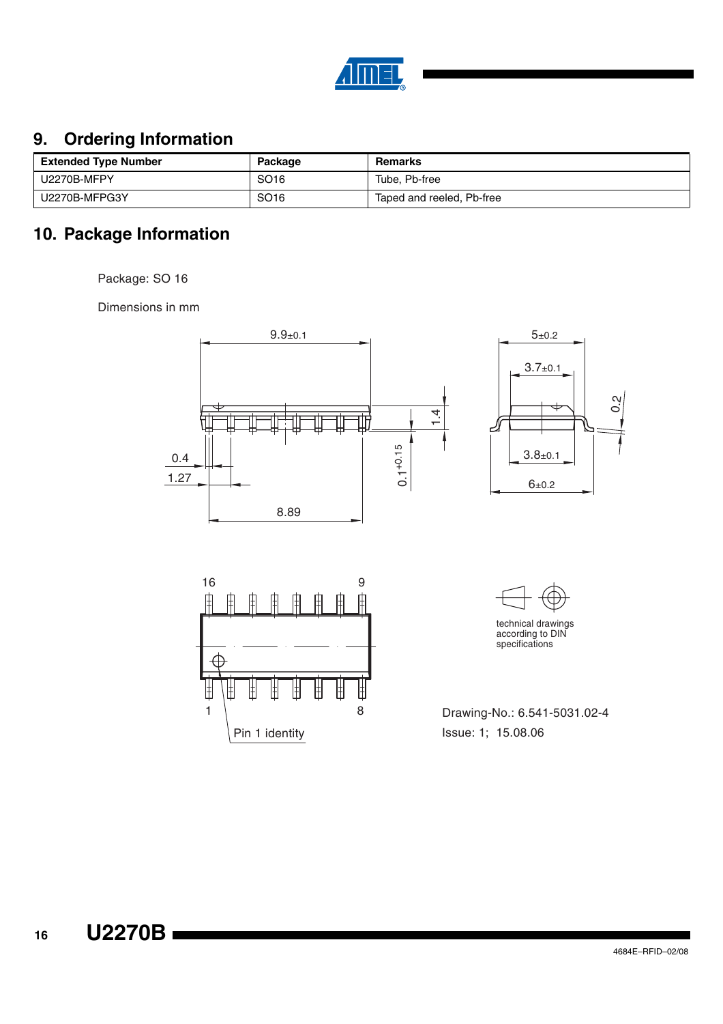

# **9. Ordering Information**

| <b>Extended Type Number</b> | Package          | Remarks                   |
|-----------------------------|------------------|---------------------------|
| U2270B-MFPY                 | SO <sub>16</sub> | Tube, Pb-free             |
| U2270B-MFPG3Y               | SO <sub>16</sub> | Taped and reeled, Pb-free |

# **10. Package Information**

Package: SO 16

Dimensions in mm



8

丗 Iŧ

Pin 1 identity

Issue: 1; 15.08.06 1 | 8 Drawing-No.: 6.541-5031.02-4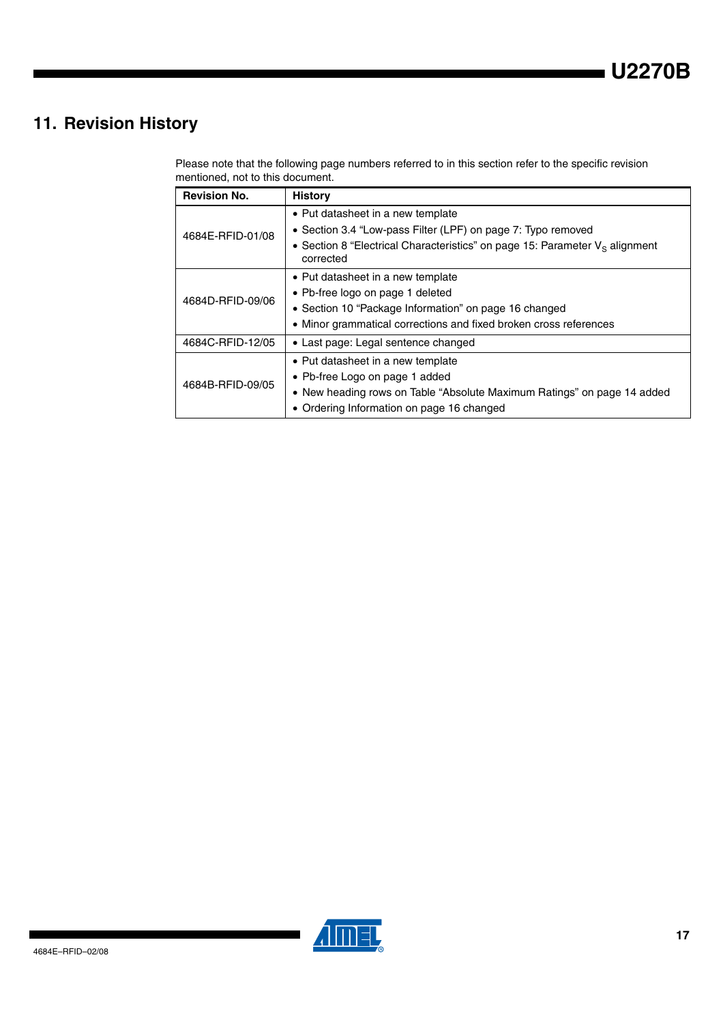# **11. Revision History**

Please note that the following page numbers referred to in this section refer to the specific revision mentioned, not to this document.

| <b>Revision No.</b> | <b>History</b>                                                                              |  |  |  |  |
|---------------------|---------------------------------------------------------------------------------------------|--|--|--|--|
| 4684E-RFID-01/08    | • Put datasheet in a new template                                                           |  |  |  |  |
|                     | • Section 3.4 "Low-pass Filter (LPF) on page 7: Typo removed                                |  |  |  |  |
|                     | • Section 8 "Electrical Characteristics" on page 15: Parameter $V_s$ alignment<br>corrected |  |  |  |  |
| 4684D-RFID-09/06    | • Put datasheet in a new template                                                           |  |  |  |  |
|                     | • Pb-free logo on page 1 deleted                                                            |  |  |  |  |
|                     | • Section 10 "Package Information" on page 16 changed                                       |  |  |  |  |
|                     | • Minor grammatical corrections and fixed broken cross references                           |  |  |  |  |
| 4684C-RFID-12/05    | • Last page: Legal sentence changed                                                         |  |  |  |  |
| 4684B-RFID-09/05    | • Put datasheet in a new template                                                           |  |  |  |  |
|                     | • Pb-free Logo on page 1 added                                                              |  |  |  |  |
|                     | • New heading rows on Table "Absolute Maximum Ratings" on page 14 added                     |  |  |  |  |
|                     | • Ordering Information on page 16 changed                                                   |  |  |  |  |